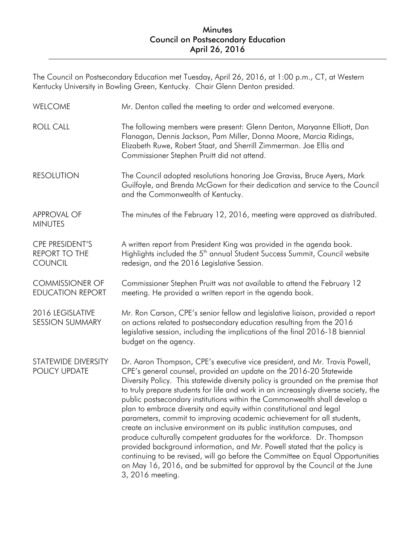The Council on Postsecondary Education met Tuesday, April 26, 2016, at 1:00 p.m., CT, at Western Kentucky University in Bowling Green, Kentucky. Chair Glenn Denton presided.

| <b>WELCOME</b>                                                   | Mr. Denton called the meeting to order and welcomed everyone.                                                                                                                                                                                                                                                                                                                                                                                                                                                                                                                                                                                                                                                                                                                                                                                                                                                                                                                   |
|------------------------------------------------------------------|---------------------------------------------------------------------------------------------------------------------------------------------------------------------------------------------------------------------------------------------------------------------------------------------------------------------------------------------------------------------------------------------------------------------------------------------------------------------------------------------------------------------------------------------------------------------------------------------------------------------------------------------------------------------------------------------------------------------------------------------------------------------------------------------------------------------------------------------------------------------------------------------------------------------------------------------------------------------------------|
| <b>ROLL CALL</b>                                                 | The following members were present: Glenn Denton, Maryanne Elliott, Dan<br>Flanagan, Dennis Jackson, Pam Miller, Donna Moore, Marcia Ridings,<br>Elizabeth Ruwe, Robert Staat, and Sherrill Zimmerman. Joe Ellis and<br>Commissioner Stephen Pruitt did not attend.                                                                                                                                                                                                                                                                                                                                                                                                                                                                                                                                                                                                                                                                                                             |
| <b>RESOLUTION</b>                                                | The Council adopted resolutions honoring Joe Graviss, Bruce Ayers, Mark<br>Guilfoyle, and Brenda McGown for their dedication and service to the Council<br>and the Commonwealth of Kentucky.                                                                                                                                                                                                                                                                                                                                                                                                                                                                                                                                                                                                                                                                                                                                                                                    |
| <b>APPROVAL OF</b><br><b>MINUTES</b>                             | The minutes of the February 12, 2016, meeting were approved as distributed.                                                                                                                                                                                                                                                                                                                                                                                                                                                                                                                                                                                                                                                                                                                                                                                                                                                                                                     |
| <b>CPE PRESIDENT'S</b><br><b>REPORT TO THE</b><br><b>COUNCIL</b> | A written report from President King was provided in the agenda book.<br>Highlights included the 5 <sup>th</sup> annual Student Success Summit, Council website<br>redesign, and the 2016 Legislative Session.                                                                                                                                                                                                                                                                                                                                                                                                                                                                                                                                                                                                                                                                                                                                                                  |
| <b>COMMISSIONER OF</b><br><b>EDUCATION REPORT</b>                | Commissioner Stephen Pruitt was not available to attend the February 12<br>meeting. He provided a written report in the agenda book.                                                                                                                                                                                                                                                                                                                                                                                                                                                                                                                                                                                                                                                                                                                                                                                                                                            |
| 2016 LEGISLATIVE<br><b>SESSION SUMMARY</b>                       | Mr. Ron Carson, CPE's senior fellow and legislative liaison, provided a report<br>on actions related to postsecondary education resulting from the 2016<br>legislative session, including the implications of the final 2016-18 biennial<br>budget on the agency.                                                                                                                                                                                                                                                                                                                                                                                                                                                                                                                                                                                                                                                                                                               |
| STATEWIDE DIVERSITY<br>POLICY UPDATE                             | Dr. Aaron Thompson, CPE's executive vice president, and Mr. Travis Powell,<br>CPE's general counsel, provided an update on the 2016-20 Statewide<br>Diversity Policy. This statewide diversity policy is grounded on the premise that<br>to truly prepare students for life and work in an increasingly diverse society, the<br>public postsecondary institutions within the Commonwealth shall develop a<br>plan to embrace diversity and equity within constitutional and legal<br>parameters, commit to improving academic achievement for all students,<br>create an inclusive environment on its public institution campuses, and<br>produce culturally competent graduates for the workforce. Dr. Thompson<br>provided background information, and Mr. Powell stated that the policy is<br>continuing to be revised, will go before the Committee on Equal Opportunities<br>on May 16, 2016, and be submitted for approval by the Council at the June<br>3, 2016 meeting. |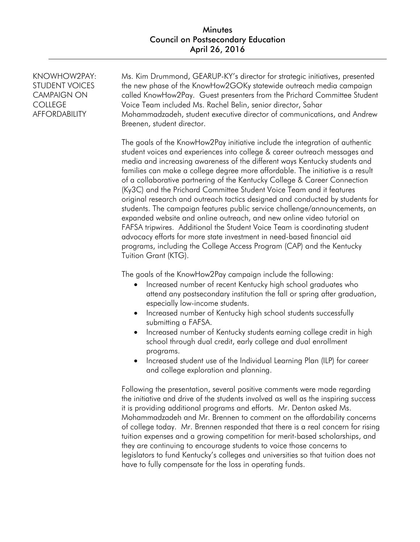KNOWHOW2PAY: STUDENT VOICES CAMPAIGN ON **COLLEGE** AFFORDABILITY Ms. Kim Drummond, GEARUP-KY's director for strategic initiatives, presented the new phase of the KnowHow2GOKy statewide outreach media campaign called KnowHow2Pay. Guest presenters from the Prichard Committee Student Voice Team included Ms. Rachel Belin, senior director, Sahar Mohammadzadeh, student executive director of communications, and Andrew Breenen, student director. The goals of the KnowHow2Pay initiative include the integration of authentic student voices and experiences into college & career outreach messages and media and increasing awareness of the different ways Kentucky students and families can make a college degree more affordable. The initiative is a result of a collaborative partnering of the Kentucky College & Career Connection (Ky3C) and the Prichard Committee Student Voice Team and it features original research and outreach tactics designed and conducted by students for students. The campaign features public service challenge/announcements, an expanded website and online outreach, and new online video tutorial on FAFSA tripwires. Additional the Student Voice Team is coordinating student advocacy efforts for more state investment in need-based financial aid programs, including the College Access Program (CAP) and the Kentucky Tuition Grant (KTG). The goals of the KnowHow2Pay campaign include the following:

- Increased number of recent Kentucky high school graduates who attend any postsecondary institution the fall or spring after graduation, especially low-income students.
- Increased number of Kentucky high school students successfully submitting a FAFSA.
- Increased number of Kentucky students earning college credit in high school through dual credit, early college and dual enrollment programs.
- Increased student use of the Individual Learning Plan (ILP) for career and college exploration and planning.

Following the presentation, several positive comments were made regarding the initiative and drive of the students involved as well as the inspiring success it is providing additional programs and efforts. Mr. Denton asked Ms. Mohammadzadeh and Mr. Brennen to comment on the affordability concerns of college today. Mr. Brennen responded that there is a real concern for rising tuition expenses and a growing competition for merit-based scholarships, and they are continuing to encourage students to voice those concerns to legislators to fund Kentucky's colleges and universities so that tuition does not have to fully compensate for the loss in operating funds.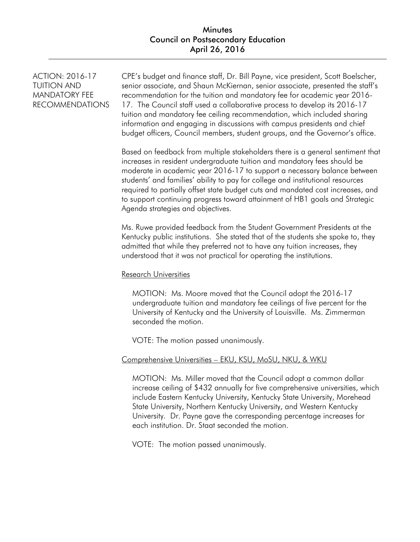## **Minutes** Council on Postsecondary Education April 26, 2016

ACTION: 2016-17 TUITION AND MANDATORY FEE RECOMMENDATIONS CPE's budget and finance staff, Dr. Bill Payne, vice president, Scott Boelscher, senior associate, and Shaun McKiernan, senior associate, presented the staff's recommendation for the tuition and mandatory fee for academic year 2016- 17. The Council staff used a collaborative process to develop its 2016-17 tuition and mandatory fee ceiling recommendation, which included sharing information and engaging in discussions with campus presidents and chief budget officers, Council members, student groups, and the Governor's office.

Based on feedback from multiple stakeholders there is a general sentiment that increases in resident undergraduate tuition and mandatory fees should be moderate in academic year 2016-17 to support a necessary balance between students' and families' ability to pay for college and institutional resources required to partially offset state budget cuts and mandated cost increases, and to support continuing progress toward attainment of HB1 goals and Strategic Agenda strategies and objectives.

Ms. Ruwe provided feedback from the Student Government Presidents at the Kentucky public institutions. She stated that of the students she spoke to, they admitted that while they preferred not to have any tuition increases, they understood that it was not practical for operating the institutions.

#### Research Universities

MOTION: Ms. Moore moved that the Council adopt the 2016-17 undergraduate tuition and mandatory fee ceilings of five percent for the University of Kentucky and the University of Louisville. Ms. Zimmerman seconded the motion.

VOTE: The motion passed unanimously.

### Comprehensive Universities – EKU, KSU, MoSU, NKU, & WKU

MOTION: Ms. Miller moved that the Council adopt a common dollar increase ceiling of \$432 annually for five comprehensive universities, which include Eastern Kentucky University, Kentucky State University, Morehead State University, Northern Kentucky University, and Western Kentucky University. Dr. Payne gave the corresponding percentage increases for each institution. Dr. Staat seconded the motion.

VOTE: The motion passed unanimously.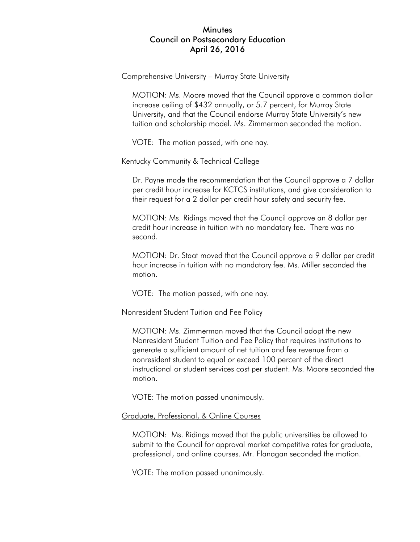#### Comprehensive University – Murray State University

MOTION: Ms. Moore moved that the Council approve a common dollar increase ceiling of \$432 annually, or 5.7 percent, for Murray State University, and that the Council endorse Murray State University's new tuition and scholarship model. Ms. Zimmerman seconded the motion.

VOTE: The motion passed, with one nay.

#### Kentucky Community & Technical College

Dr. Payne made the recommendation that the Council approve a 7 dollar per credit hour increase for KCTCS institutions, and give consideration to their request for a 2 dollar per credit hour safety and security fee.

MOTION: Ms. Ridings moved that the Council approve an 8 dollar per credit hour increase in tuition with no mandatory fee. There was no second.

MOTION: Dr. Staat moved that the Council approve a 9 dollar per credit hour increase in tuition with no mandatory fee. Ms. Miller seconded the motion.

VOTE: The motion passed, with one nay.

#### Nonresident Student Tuition and Fee Policy

MOTION: Ms. Zimmerman moved that the Council adopt the new Nonresident Student Tuition and Fee Policy that requires institutions to generate a sufficient amount of net tuition and fee revenue from a nonresident student to equal or exceed 100 percent of the direct instructional or student services cost per student. Ms. Moore seconded the motion.

VOTE: The motion passed unanimously.

#### Graduate, Professional, & Online Courses

MOTION: Ms. Ridings moved that the public universities be allowed to submit to the Council for approval market competitive rates for graduate, professional, and online courses. Mr. Flanagan seconded the motion.

VOTE: The motion passed unanimously.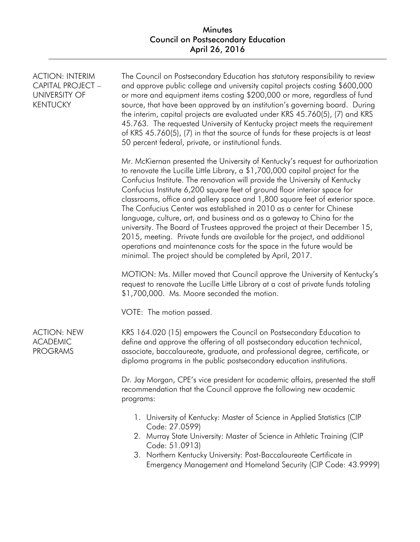# Minutes Council on Postsecondary Education April 26, 2016

| <b>ACTION: INTERIM</b><br>CAPITAL PROJECT -<br><b>UNIVERSITY OF</b><br><b>KENTUCKY</b> | The Council on Postsecondary Education has statutory responsibility to review<br>and approve public college and university capital projects costing \$600,000<br>or more and equipment items costing \$200,000 or more, regardless of fund<br>source, that have been approved by an institution's governing board. During<br>the interim, capital projects are evaluated under KRS 45.760(5), (7) and KRS<br>45.763. The requested University of Kentucky project meets the requirement<br>of KRS 45.760(5), (7) in that the source of funds for these projects is at least<br>50 percent federal, private, or institutional funds.                                                                                                                                                                                                                              |
|----------------------------------------------------------------------------------------|------------------------------------------------------------------------------------------------------------------------------------------------------------------------------------------------------------------------------------------------------------------------------------------------------------------------------------------------------------------------------------------------------------------------------------------------------------------------------------------------------------------------------------------------------------------------------------------------------------------------------------------------------------------------------------------------------------------------------------------------------------------------------------------------------------------------------------------------------------------|
|                                                                                        | Mr. McKiernan presented the University of Kentucky's request for authorization<br>to renovate the Lucille Little Library, a \$1,700,000 capital project for the<br>Confucius Institute. The renovation will provide the University of Kentucky<br>Confucius Institute 6,200 square feet of ground floor interior space for<br>classrooms, office and gallery space and 1,800 square feet of exterior space.<br>The Confucius Center was established in 2010 as a center for Chinese<br>language, culture, art, and business and as a gateway to China for the<br>university. The Board of Trustees approved the project at their December 15,<br>2015, meeting. Private funds are available for the project, and additional<br>operations and maintenance costs for the space in the future would be<br>minimal. The project should be completed by April, 2017. |
|                                                                                        | MOTION: Ms. Miller moved that Council approve the University of Kentucky's<br>request to renovate the Lucille Little Library at a cost of private funds totaling<br>\$1,700,000. Ms. Moore seconded the motion.                                                                                                                                                                                                                                                                                                                                                                                                                                                                                                                                                                                                                                                  |
|                                                                                        | VOTE: The motion passed.                                                                                                                                                                                                                                                                                                                                                                                                                                                                                                                                                                                                                                                                                                                                                                                                                                         |
| <b>ACTION: NEW</b><br><b>ACADEMIC</b><br><b>PROGRAMS</b>                               | KRS 164.020 (15) empowers the Council on Postsecondary Education to<br>define and approve the offering of all postsecondary education technical,<br>associate, baccalaureate, graduate, and professional degree, certificate, or<br>diploma programs in the public postsecondary education institutions.                                                                                                                                                                                                                                                                                                                                                                                                                                                                                                                                                         |
|                                                                                        | Dr. Jay Morgan, CPE's vice president for academic affairs, presented the staff<br>recommendation that the Council approve the following new academic<br>programs:                                                                                                                                                                                                                                                                                                                                                                                                                                                                                                                                                                                                                                                                                                |
|                                                                                        | 1. University of Kentucky: Master of Science in Applied Statistics (CIP<br>Code: 27.0599)<br>2. Murray State University: Master of Science in Athletic Training (CIP<br>Code: 51.0913)<br>3. Northern Kentucky University: Post-Baccalaureate Certificate in<br>Emergency Management and Homeland Security (CIP Code: 43.9999)                                                                                                                                                                                                                                                                                                                                                                                                                                                                                                                                   |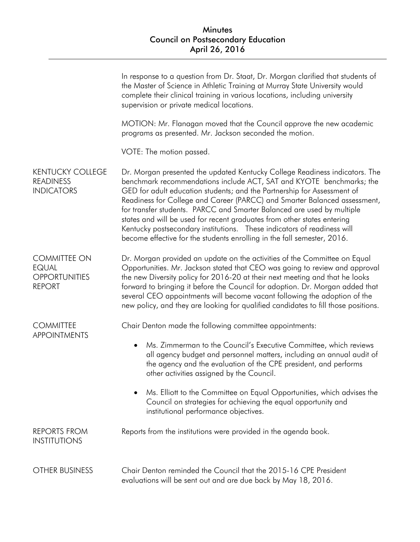|                                                                              | In response to a question from Dr. Staat, Dr. Morgan clarified that students of<br>the Master of Science in Athletic Training at Murray State University would<br>complete their clinical training in various locations, including university<br>supervision or private medical locations.                                                                                                                                                                                                                                                                                                                              |
|------------------------------------------------------------------------------|-------------------------------------------------------------------------------------------------------------------------------------------------------------------------------------------------------------------------------------------------------------------------------------------------------------------------------------------------------------------------------------------------------------------------------------------------------------------------------------------------------------------------------------------------------------------------------------------------------------------------|
|                                                                              | MOTION: Mr. Flanagan moved that the Council approve the new academic<br>programs as presented. Mr. Jackson seconded the motion.                                                                                                                                                                                                                                                                                                                                                                                                                                                                                         |
|                                                                              | VOTE: The motion passed.                                                                                                                                                                                                                                                                                                                                                                                                                                                                                                                                                                                                |
| <b>KENTUCKY COLLEGE</b><br><b>READINESS</b><br><b>INDICATORS</b>             | Dr. Morgan presented the updated Kentucky College Readiness indicators. The<br>benchmark recommendations include ACT, SAT and KYOTE benchmarks; the<br>GED for adult education students; and the Partnership for Assessment of<br>Readiness for College and Career (PARCC) and Smarter Balanced assessment,<br>for transfer students. PARCC and Smarter Balanced are used by multiple<br>states and will be used for recent graduates from other states entering<br>Kentucky postsecondary institutions.  These indicators of readiness will<br>become effective for the students enrolling in the fall semester, 2016. |
| <b>COMMITTEE ON</b><br><b>EQUAL</b><br><b>OPPORTUNITIES</b><br><b>REPORT</b> | Dr. Morgan provided an update on the activities of the Committee on Equal<br>Opportunities. Mr. Jackson stated that CEO was going to review and approval<br>the new Diversity policy for 2016-20 at their next meeting and that he looks<br>forward to bringing it before the Council for adoption. Dr. Morgan added that<br>several CEO appointments will become vacant following the adoption of the<br>new policy, and they are looking for qualified candidates to fill those positions.                                                                                                                            |
| <b>COMMITTEE</b><br><b>APPOINTMENTS</b>                                      | Chair Denton made the following committee appointments:<br>Ms. Zimmerman to the Council's Executive Committee, which reviews<br>$\bullet$<br>all agency budget and personnel matters, including an annual audit of<br>the agency and the evaluation of the CPE president, and performs<br>other activities assigned by the Council.<br>Ms. Elliott to the Committee on Equal Opportunities, which advises the<br>Council on strategies for achieving the equal opportunity and                                                                                                                                          |
| <b>REPORTS FROM</b><br><b>INSTITUTIONS</b>                                   | institutional performance objectives.<br>Reports from the institutions were provided in the agenda book.                                                                                                                                                                                                                                                                                                                                                                                                                                                                                                                |
| <b>OTHER BUSINESS</b>                                                        | Chair Denton reminded the Council that the 2015-16 CPE President<br>evaluations will be sent out and are due back by May 18, 2016.                                                                                                                                                                                                                                                                                                                                                                                                                                                                                      |